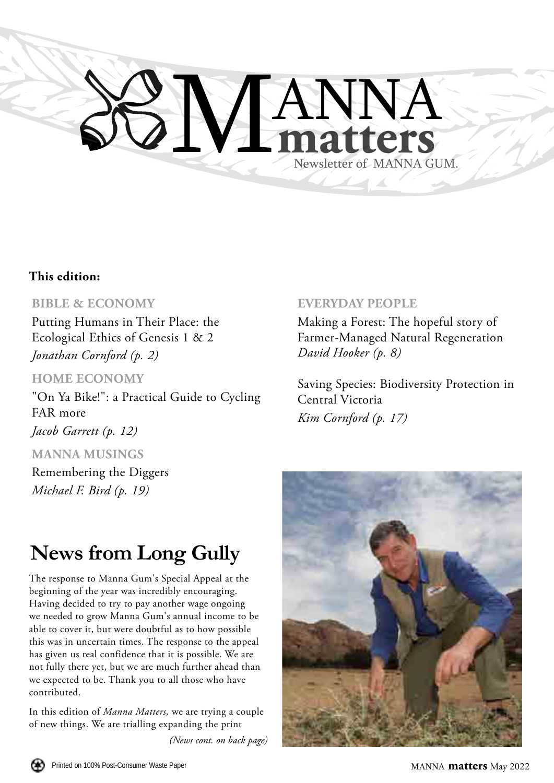# **MANNA**<br>**Matters**<br>Newsletter of MANNA G Newsletter of MANNA GUM. ANNA

### **This edition:**

### **BIBLE & ECONOMY**

Putting Humans in Their Place: the Ecological Ethics of Genesis 1 & 2 *Jonathan Cornford (p. 2)*

#### **HOME ECONOMY**

"On Ya Bike!": a Practical Guide to Cycling FAR more *Jacob Garrett (p. 12)* **MANNA MUSINGS**

Remembering the Diggers *Michael F. Bird (p. 19)* 

# **News from Long Gully**

The response to Manna Gum's Special Appeal at the beginning of the year was incredibly encouraging. Having decided to try to pay another wage ongoing we needed to grow Manna Gum's annual income to be able to cover it, but were doubtful as to how possible this was in uncertain times. The response to the appeal has given us real confidence that it is possible. We are not fully there yet, but we are much further ahead than we expected to be. Thank you to all those who have contributed.

In this edition of *Manna Matters,* we are trying a couple of new things. We are trialling expanding the print

*(News cont. on back page)*

### **EVERYDAY PEOPLE**

Making a Forest: The hopeful story of Farmer-Managed Natural Regeneration *David Hooker (p. 8)*

Saving Species: Biodiversity Protection in Central Victoria *Kim Cornford (p. 17)*

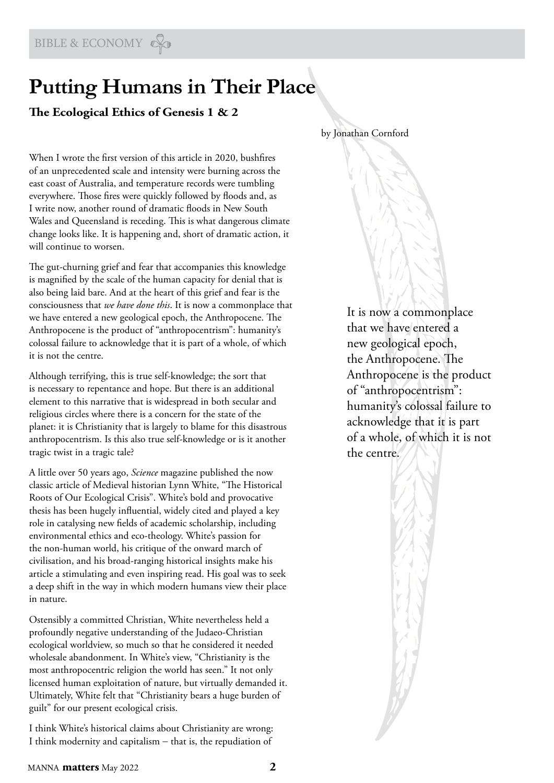# **Putting Humans in Their Place**

#### **The Ecological Ethics of Genesis 1 & 2**

by Jonathan Cornford

When I wrote the first version of this article in 2020, bushfires of an unprecedented scale and intensity were burning across the east coast of Australia, and temperature records were tumbling everywhere. Those fires were quickly followed by floods and, as I write now, another round of dramatic floods in New South Wales and Queensland is receding. This is what dangerous climate change looks like. It is happening and, short of dramatic action, it will continue to worsen.

The gut-churning grief and fear that accompanies this knowledge is magnified by the scale of the human capacity for denial that is also being laid bare. And at the heart of this grief and fear is the consciousness that *we have done this*. It is now a commonplace that we have entered a new geological epoch, the Anthropocene. The Anthropocene is the product of "anthropocentrism": humanity's colossal failure to acknowledge that it is part of a whole, of which it is not the centre.

Although terrifying, this is true self-knowledge; the sort that is necessary to repentance and hope. But there is an additional element to this narrative that is widespread in both secular and religious circles where there is a concern for the state of the planet: it is Christianity that is largely to blame for this disastrous anthropocentrism. Is this also true self-knowledge or is it another tragic twist in a tragic tale?

A little over 50 years ago, *Science* magazine published the now classic article of Medieval historian Lynn White, "The Historical Roots of Our Ecological Crisis". White's bold and provocative thesis has been hugely influential, widely cited and played a key role in catalysing new fields of academic scholarship, including environmental ethics and eco-theology. White's passion for the non-human world, his critique of the onward march of civilisation, and his broad-ranging historical insights make his article a stimulating and even inspiring read. His goal was to seek a deep shift in the way in which modern humans view their place in nature.

Ostensibly a committed Christian, White nevertheless held a profoundly negative understanding of the Judaeo-Christian ecological worldview, so much so that he considered it needed wholesale abandonment. In White's view, "Christianity is the most anthropocentric religion the world has seen." It not only licensed human exploitation of nature, but virtually demanded it. Ultimately, White felt that "Christianity bears a huge burden of guilt" for our present ecological crisis.

I think White's historical claims about Christianity are wrong: I think modernity and capitalism  $-$  that is, the repudiation of It is now a commonplace that we have entered a new geological epoch, the Anthropocene. The Anthropocene is the product of "anthropocentrism": humanity's colossal failure to acknowledge that it is part of a whole, of which it is not the centre.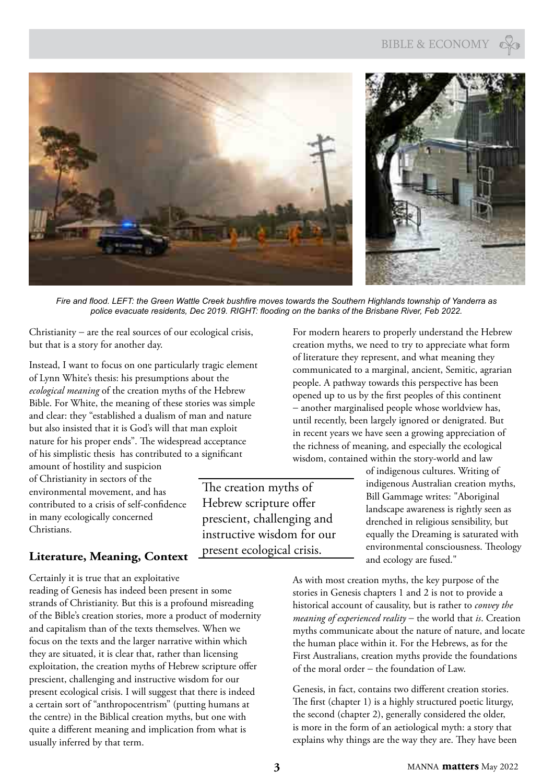

*Fire and flood. LEFT: the Green Wattle Creek bushfire moves towards the Southern Highlands township of Yanderra as police evacuate residents, Dec 2019. RIGHT: flooding on the banks of the Brisbane River, Feb 2022.*

 $Christianity - are the real sources of our ecological crisis,$ but that is a story for another day.

Instead, I want to focus on one particularly tragic element of Lynn White's thesis: his presumptions about the *ecological meaning* of the creation myths of the Hebrew Bible. For White, the meaning of these stories was simple and clear: they "established a dualism of man and nature but also insisted that it is God's will that man exploit nature for his proper ends". The widespread acceptance of his simplistic thesis has contributed to a significant

amount of hostility and suspicion of Christianity in sectors of the environmental movement, and has contributed to a crisis of self-confidence in many ecologically concerned Christians.

#### **Literature, Meaning, Context**

Certainly it is true that an exploitative reading of Genesis has indeed been present in some strands of Christianity. But this is a profound misreading of the Bible's creation stories, more a product of modernity and capitalism than of the texts themselves. When we focus on the texts and the larger narrative within which they are situated, it is clear that, rather than licensing exploitation, the creation myths of Hebrew scripture offer prescient, challenging and instructive wisdom for our present ecological crisis. I will suggest that there is indeed a certain sort of "anthropocentrism" (putting humans at the centre) in the Biblical creation myths, but one with quite a different meaning and implication from what is usually inferred by that term.

until recently, been largely ignored or denigrated. But in recent years we have seen a growing appreciation of the richness of meaning, and especially the ecological The creation myths of Hebrew scripture offer prescient, challenging and instructive wisdom for our

wisdom, contained within the story-world and law of indigenous cultures. Writing of indigenous Australian creation myths, Bill Gammage writes: "Aboriginal landscape awareness is rightly seen as drenched in religious sensibility, but equally the Dreaming is saturated with environmental consciousness. Theology and ecology are fused."

As with most creation myths, the key purpose of the stories in Genesis chapters 1 and 2 is not to provide a historical account of causality, but is rather to *convey the meaning of experienced reality* - the world that *is*. Creation myths communicate about the nature of nature, and locate the human place within it. For the Hebrews, as for the First Australians, creation myths provide the foundations of the moral order  $-$  the foundation of Law.

For modern hearers to properly understand the Hebrew creation myths, we need to try to appreciate what form of literature they represent, and what meaning they communicated to a marginal, ancient, Semitic, agrarian people. A pathway towards this perspective has been opened up to us by the first peoples of this continent - another marginalised people whose worldview has,

Genesis, in fact, contains two different creation stories. The first (chapter 1) is a highly structured poetic liturgy, the second (chapter 2), generally considered the older, is more in the form of an aetiological myth: a story that explains why things are the way they are. They have been

present ecological crisis.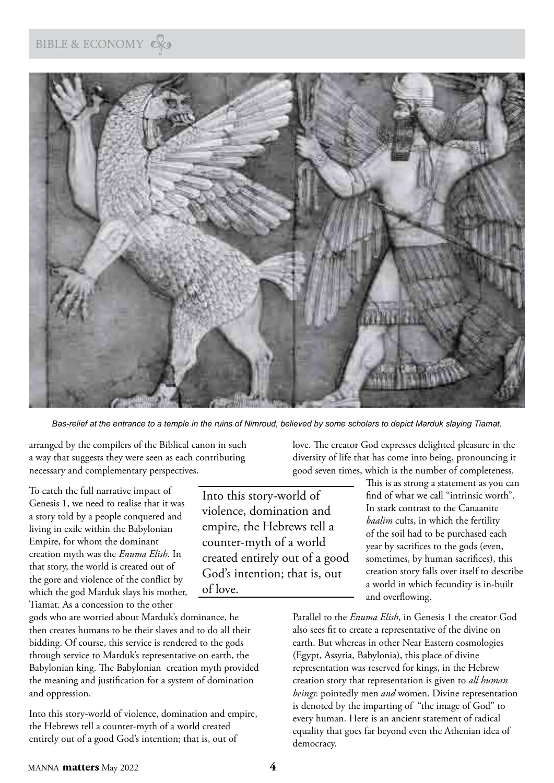



*Bas-relief at the entrance to a temple in the ruins of Nimroud, believed by some scholars to depict Marduk slaying Tiamat.*

counter-myth of a world

of love.

created entirely out of a good God's intention; that is, out

arranged by the compilers of the Biblical canon in such a way that suggests they were seen as each contributing necessary and complementary perspectives.

To catch the full narrative impact of Genesis 1, we need to realise that it was a story told by a people conquered and living in exile within the Babylonian Empire, for whom the dominant creation myth was the *Enuma Elish*. In that story, the world is created out of the gore and violence of the conflict by which the god Marduk slays his mother, Tiamat. As a concession to the other

gods who are worried about Marduk's dominance, he then creates humans to be their slaves and to do all their bidding. Of course, this service is rendered to the gods through service to Marduk's representative on earth, the Babylonian king. The Babylonian creation myth provided the meaning and justification for a system of domination and oppression.

Into this story-world of violence, domination and empire, the Hebrews tell a counter-myth of a world created entirely out of a good God's intention; that is, out of

good seven times, which is the number of completeness. This is as strong a statement as you can find of what we call "intrinsic worth". Into this story-world of violence, domination and empire, the Hebrews tell a

In stark contrast to the Canaanite *baalim* cults, in which the fertility of the soil had to be purchased each year by sacrifices to the gods (even, sometimes, by human sacrifices), this creation story falls over itself to describe a world in which fecundity is in-built and overflowing.

Parallel to the *Enuma Elish*, in Genesis 1 the creator God also sees fit to create a representative of the divine on earth. But whereas in other Near Eastern cosmologies (Egypt, Assyria, Babylonia), this place of divine representation was reserved for kings, in the Hebrew creation story that representation is given to *all human beings*: pointedly men *and* women. Divine representation is denoted by the imparting of "the image of God" to every human. Here is an ancient statement of radical equality that goes far beyond even the Athenian idea of democracy.

love. The creator God expresses delighted pleasure in the diversity of life that has come into being, pronouncing it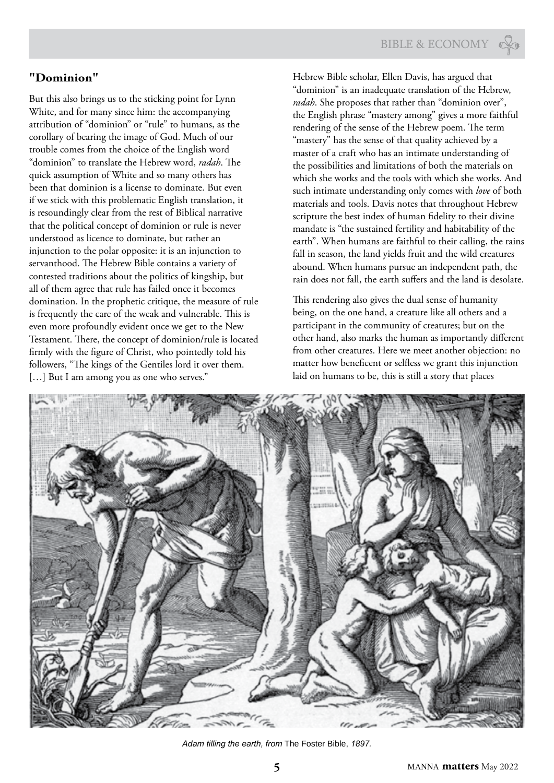#### **"Dominion"**

But this also brings us to the sticking point for Lynn White, and for many since him: the accompanying attribution of "dominion" or "rule" to humans, as the corollary of bearing the image of God. Much of our trouble comes from the choice of the English word "dominion" to translate the Hebrew word, *radah*. The quick assumption of White and so many others has been that dominion is a license to dominate. But even if we stick with this problematic English translation, it is resoundingly clear from the rest of Biblical narrative that the political concept of dominion or rule is never understood as licence to dominate, but rather an injunction to the polar opposite: it is an injunction to servanthood. The Hebrew Bible contains a variety of contested traditions about the politics of kingship, but all of them agree that rule has failed once it becomes domination. In the prophetic critique, the measure of rule is frequently the care of the weak and vulnerable. This is even more profoundly evident once we get to the New Testament. There, the concept of dominion/rule is located firmly with the figure of Christ, who pointedly told his followers, "The kings of the Gentiles lord it over them. [...] But I am among you as one who serves."

Hebrew Bible scholar, Ellen Davis, has argued that "dominion" is an inadequate translation of the Hebrew, *radah*. She proposes that rather than "dominion over", the English phrase "mastery among" gives a more faithful rendering of the sense of the Hebrew poem. The term "mastery" has the sense of that quality achieved by a master of a craft who has an intimate understanding of the possibilities and limitations of both the materials on which she works and the tools with which she works. And such intimate understanding only comes with *love* of both materials and tools. Davis notes that throughout Hebrew scripture the best index of human fidelity to their divine mandate is "the sustained fertility and habitability of the earth". When humans are faithful to their calling, the rains fall in season, the land yields fruit and the wild creatures abound. When humans pursue an independent path, the rain does not fall, the earth suffers and the land is desolate.

This rendering also gives the dual sense of humanity being, on the one hand, a creature like all others and a participant in the community of creatures; but on the other hand, also marks the human as importantly different from other creatures. Here we meet another objection: no matter how beneficent or selfless we grant this injunction laid on humans to be, this is still a story that places



*Adam tilling the earth, from* The Foster Bible, *1897.*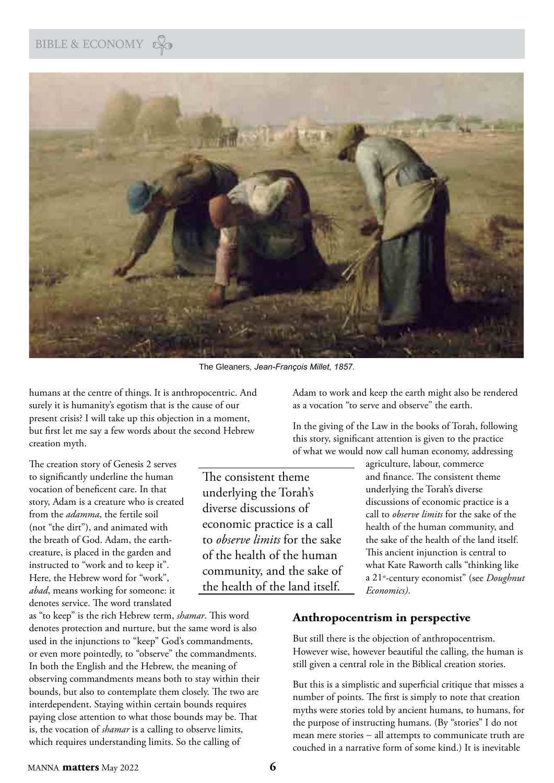



The Gleaners*, Jean-François Millet, 1857.*

humans at the centre of things. It is anthropocentric. And surely it is humanity's egotism that is the cause of our present crisis? I will take up this objection in a moment, but first let me say a few words about the second Hebrew creation myth.

The creation story of Genesis 2 serves to significantly underline the human vocation of beneficent care. In that story, Adam is a creature who is created from the *adamma*, the fertile soil (not "the dirt"), and animated with the breath of God. Adam, the earthcreature, is placed in the garden and instructed to "work and to keep it". Here, the Hebrew word for "work", *abad*, means working for someone: it denotes service. The word translated

as "to keep" is the rich Hebrew term, *shamar*. This word denotes protection and nurture, but the same word is also used in the injunctions to "keep" God's commandments, or even more pointedly, to "observe" the commandments. In both the English and the Hebrew, the meaning of observing commandments means both to stay within their bounds, but also to contemplate them closely. The two are interdependent. Staying within certain bounds requires paying close attention to what those bounds may be. That is, the vocation of *shamar* is a calling to observe limits, which requires understanding limits. So the calling of

The consistent theme underlying the Torah's diverse discussions of economic practice is a call to *observe limits* for the sake of the health of the human community, and the sake of the health of the land itself.

Adam to work and keep the earth might also be rendered as a vocation "to serve and observe" the earth.

In the giving of the Law in the books of Torah, following this story, significant attention is given to the practice of what we would now call human economy, addressing

> agriculture, labour, commerce and finance. The consistent theme underlying the Torah's diverse discussions of economic practice is a call to *observe limits* for the sake of the health of the human community, and the sake of the health of the land itself. This ancient injunction is central to what Kate Raworth calls "thinking like a 21st-century economist" (see *Doughnut Economics)*.

#### **Anthropocentrism in perspective**

But still there is the objection of anthropocentrism. However wise, however beautiful the calling, the human is still given a central role in the Biblical creation stories.

But this is a simplistic and superficial critique that misses a number of points. The first is simply to note that creation myths were stories told by ancient humans, to humans, for the purpose of instructing humans. (By "stories" I do not mean mere stories - all attempts to communicate truth are couched in a narrative form of some kind.) It is inevitable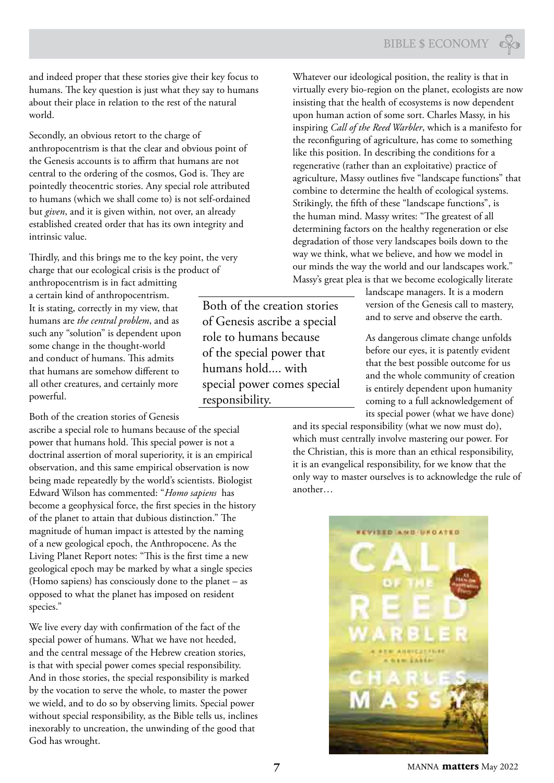and indeed proper that these stories give their key focus to humans. The key question is just what they say to humans about their place in relation to the rest of the natural world.

Secondly, an obvious retort to the charge of anthropocentrism is that the clear and obvious point of the Genesis accounts is to affirm that humans are not central to the ordering of the cosmos, God is. They are pointedly theocentric stories. Any special role attributed to humans (which we shall come to) is not self-ordained but *given*, and it is given within*,* not over, an already established created order that has its own integrity and intrinsic value.

Thirdly, and this brings me to the key point, the very charge that our ecological crisis is the product of anthropocentrism is in fact admitting

a certain kind of anthropocentrism. It is stating, correctly in my view, that humans are *the central problem*, and as such any "solution" is dependent upon some change in the thought-world and conduct of humans. This admits that humans are somehow different to all other creatures, and certainly more powerful.

Both of the creation stories of Genesis

ascribe a special role to humans because of the special power that humans hold. This special power is not a doctrinal assertion of moral superiority, it is an empirical observation, and this same empirical observation is now being made repeatedly by the world's scientists. Biologist Edward Wilson has commented: "*Homo sapiens*  has become a geophysical force, the first species in the history of the planet to attain that dubious distinction." The magnitude of human impact is attested by the naming of a new geological epoch, the Anthropocene. As the Living Planet Report notes: "This is the first time a new geological epoch may be marked by what a single species (Homo sapiens) has consciously done to the planet – as opposed to what the planet has imposed on resident species."

We live every day with confirmation of the fact of the special power of humans. What we have not heeded, and the central message of the Hebrew creation stories, is that with special power comes special responsibility. And in those stories, the special responsibility is marked by the vocation to serve the whole, to master the power we wield, and to do so by observing limits. Special power without special responsibility, as the Bible tells us, inclines inexorably to uncreation, the unwinding of the good that God has wrought.

Both of the creation stories of Genesis ascribe a special role to humans because of the special power that humans hold.... with special power comes special responsibility.

Whatever our ideological position, the reality is that in virtually every bio-region on the planet, ecologists are now insisting that the health of ecosystems is now dependent upon human action of some sort. Charles Massy, in his inspiring *Call of the Reed Warbler*, which is a manifesto for the reconfiguring of agriculture, has come to something like this position. In describing the conditions for a regenerative (rather than an exploitative) practice of agriculture, Massy outlines five "landscape functions" that combine to determine the health of ecological systems. Strikingly, the fifth of these "landscape functions", is the human mind. Massy writes: "The greatest of all determining factors on the healthy regeneration or else degradation of those very landscapes boils down to the way we think, what we believe, and how we model in our minds the way the world and our landscapes work." Massy's great plea is that we become ecologically literate

> landscape managers. It is a modern version of the Genesis call to mastery, and to serve and observe the earth.

> As dangerous climate change unfolds before our eyes, it is patently evident that the best possible outcome for us and the whole community of creation is entirely dependent upon humanity coming to a full acknowledgement of its special power (what we have done)

and its special responsibility (what we now must do), which must centrally involve mastering our power. For the Christian, this is more than an ethical responsibility, it is an evangelical responsibility, for we know that the only way to master ourselves is to acknowledge the rule of another…

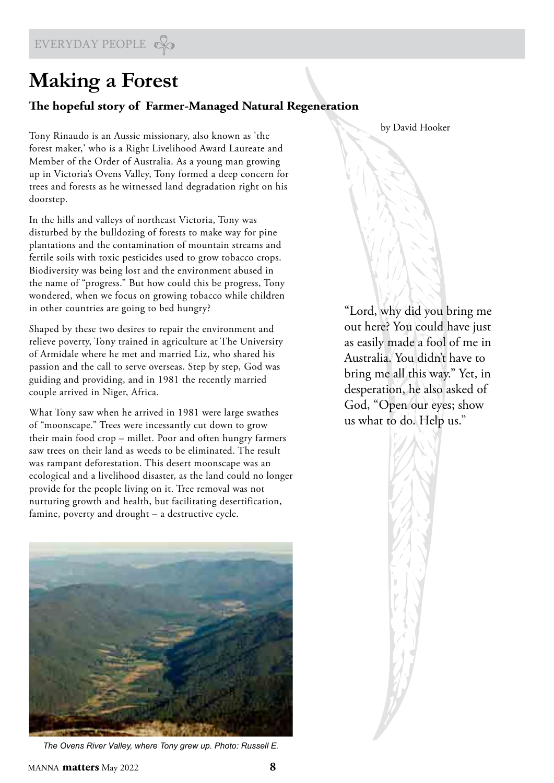# **Making a Forest**

#### **The hopeful story of Farmer-Managed Natural Regeneration**

by David Hooker Tony Rinaudo is an Aussie missionary, also known as 'the forest maker,' who is a Right Livelihood Award Laureate and Member of the Order of Australia. As a young man growing up in Victoria's Ovens Valley, Tony formed a deep concern for trees and forests as he witnessed land degradation right on his doorstep.

In the hills and valleys of northeast Victoria, Tony was disturbed by the bulldozing of forests to make way for pine plantations and the contamination of mountain streams and fertile soils with toxic pesticides used to grow tobacco crops. Biodiversity was being lost and the environment abused in the name of "progress." But how could this be progress, Tony wondered, when we focus on growing tobacco while children in other countries are going to bed hungry?

Shaped by these two desires to repair the environment and relieve poverty, Tony trained in agriculture at The University of Armidale where he met and married Liz, who shared his passion and the call to serve overseas. Step by step, God was guiding and providing, and in 1981 the recently married couple arrived in Niger, Africa.

What Tony saw when he arrived in 1981 were large swathes of "moonscape." Trees were incessantly cut down to grow their main food crop – millet. Poor and often hungry farmers saw trees on their land as weeds to be eliminated. The result was rampant deforestation. This desert moonscape was an ecological and a livelihood disaster, as the land could no longer provide for the people living on it. Tree removal was not nurturing growth and health, but facilitating desertification, famine, poverty and drought – a destructive cycle.



*The Ovens River Valley, where Tony grew up. Photo: Russell E.*

"Lord, why did you bring me out here? You could have just as easily made a fool of me in Australia. You didn't have to bring me all this way." Yet, in desperation, he also asked of God, "Open our eyes; show us what to do. Help us."

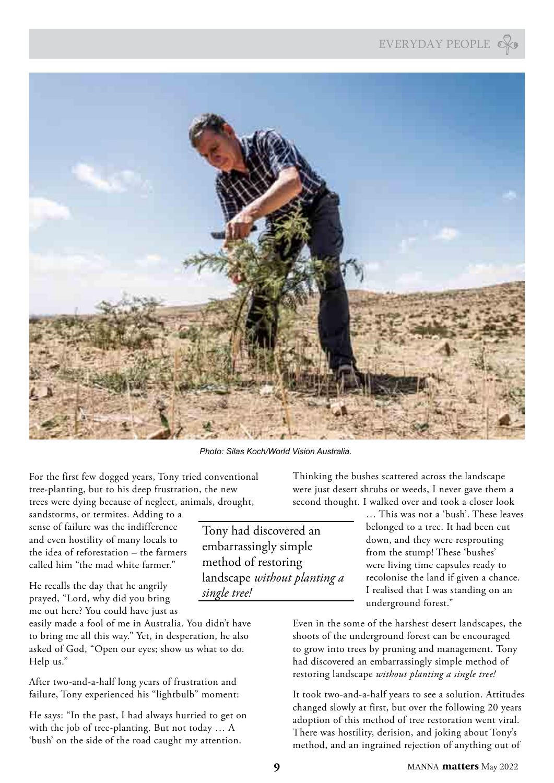

*Photo: Silas Koch/World Vision Australia.*

For the first few dogged years, Tony tried conventional tree-planting, but to his deep frustration, the new trees were dying because of neglect, animals, drought,

sandstorms, or termites. Adding to a sense of failure was the indifference and even hostility of many locals to the idea of reforestation – the farmers called him "the mad white farmer."

He recalls the day that he angrily prayed, "Lord, why did you bring me out here? You could have just as

easily made a fool of me in Australia. You didn't have to bring me all this way." Yet, in desperation, he also asked of God, "Open our eyes; show us what to do. Help us."

After two-and-a-half long years of frustration and failure, Tony experienced his "lightbulb" moment:

He says: "In the past, I had always hurried to get on with the job of tree-planting. But not today … A 'bush' on the side of the road caught my attention.

Tony had discovered an embarrassingly simple method of restoring landscape *without planting a single tree!*

Thinking the bushes scattered across the landscape were just desert shrubs or weeds, I never gave them a second thought. I walked over and took a closer look

> … This was not a 'bush'. These leaves belonged to a tree. It had been cut down, and they were resprouting from the stump! These 'bushes' were living time capsules ready to recolonise the land if given a chance. I realised that I was standing on an underground forest."

Even in the some of the harshest desert landscapes, the shoots of the underground forest can be encouraged to grow into trees by pruning and management. Tony had discovered an embarrassingly simple method of restoring landscape *without planting a single tree!*

It took two-and-a-half years to see a solution. Attitudes changed slowly at first, but over the following 20 years adoption of this method of tree restoration went viral. There was hostility, derision, and joking about Tony's method, and an ingrained rejection of anything out of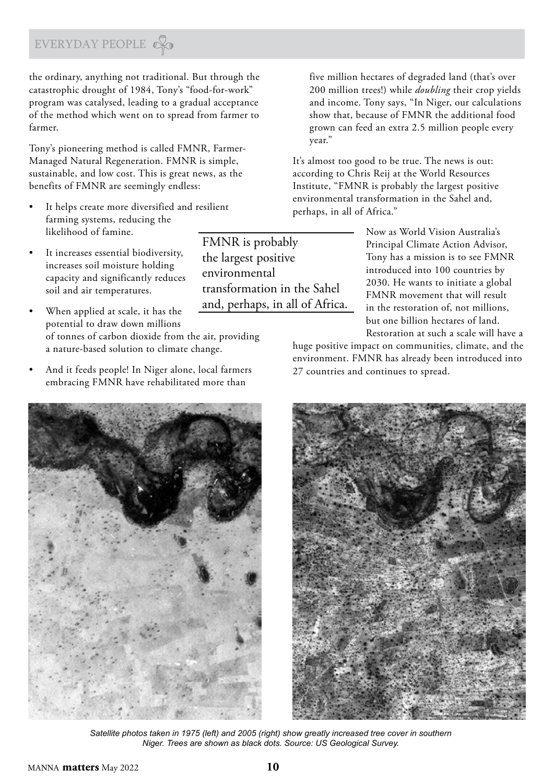### EVERYDAY PEOPLE

the ordinary, anything not traditional. But through the catastrophic drought of 1984, Tony's "food-for-work" program was catalysed, leading to a gradual acceptance of the method which went on to spread from farmer to farmer.

Tony's pioneering method is called FMNR, Farmer-Managed Natural Regeneration. FMNR is simple, sustainable, and low cost. This is great news, as the benefits of FMNR are seemingly endless:

- It helps create more diversified and resilient farming systems, reducing the likelihood of famine.
- It increases essential biodiversity, increases soil moisture holding capacity and significantly reduces soil and air temperatures.
- When applied at scale, it has the potential to draw down millions of tonnes of carbon dioxide from the air, providing a nature-based solution to climate change.
- And it feeds people! In Niger alone, local farmers embracing FMNR have rehabilitated more than

five million hectares of degraded land (that's over 200 million trees!) while *doubling* their crop yields and income. Tony says, "In Niger, our calculations show that, because of FMNR the additional food grown can feed an extra 2.5 million people every year."

It's almost too good to be true. The news is out: according to Chris Reij at the World Resources Institute, "FMNR is probably the largest positive environmental transformation in the Sahel and, perhaps, in all of Africa."

> Now as World Vision Australia's Principal Climate Action Advisor, Tony has a mission is to see FMNR introduced into 100 countries by 2030. He wants to initiate a global FMNR movement that will result in the restoration of, not millions, but one billion hectares of land. Restoration at such a scale will have a

huge positive impact on communities, climate, and the environment. FMNR has already been introduced into 27 countries and continues to spread.

*Satellite photos taken in 1975 (left) and 2005 (right) show greatly increased tree cover in southern Niger. Trees are shown as black dots. Source: US Geological Survey.*

FMNR is probably the largest positive environmental transformation in the Sahel and, perhaps, in all of Africa.



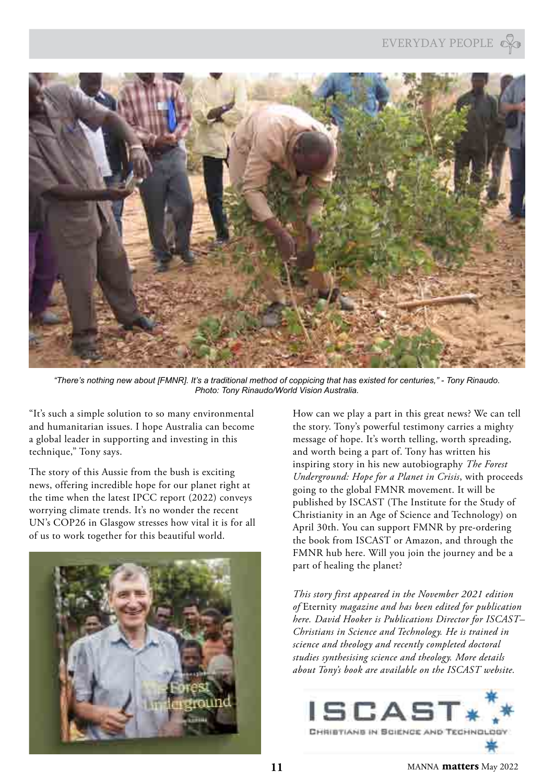

*"There's nothing new about [FMNR]. It's a traditional method of coppicing that has existed for centuries," - Tony Rinaudo. Photo: Tony Rinaudo/World Vision Australia.*

"It's such a simple solution to so many environmental and humanitarian issues. I hope Australia can become a global leader in supporting and investing in this technique," Tony says.

The story of this Aussie from the bush is exciting news, offering incredible hope for our planet right at the time when the latest IPCC report (2022) conveys worrying climate trends. It's no wonder the recent UN's COP26 in Glasgow stresses how vital it is for all of us to work together for this beautiful world.



How can we play a part in this great news? We can tell the story. Tony's powerful testimony carries a mighty message of hope. It's worth telling, worth spreading, and worth being a part of. Tony has written his inspiring story in his new autobiography *The Forest Underground: Hope for a Planet in Crisis*, with proceeds going to the global FMNR movement. It will be published by ISCAST (The Institute for the Study of Christianity in an Age of Science and Technology) on April 30th. You can support FMNR by pre-ordering the book from ISCAST or Amazon, and through the FMNR hub here. Will you join the journey and be a part of healing the planet?

*This story first appeared in the November 2021 edition of* Eternity *magazine and has been edited for publication here. David Hooker is Publications Director for ISCAST– Christians in Science and Technology. He is trained in science and theology and recently completed doctoral studies synthesising science and theology. More details about Tony's book are available on the ISCAST website.*

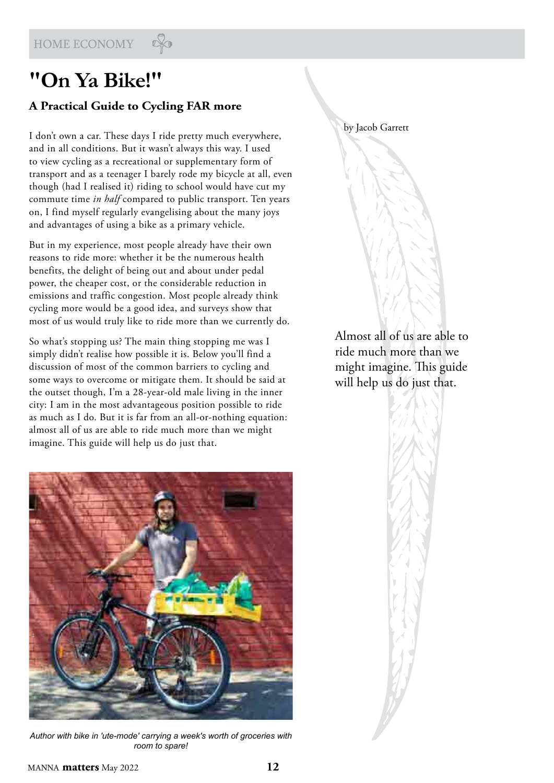# **"On Ya Bike!"**

#### **A Practical Guide to Cycling FAR more**

by Jacob Garrett I don't own a car. These days I ride pretty much everywhere, and in all conditions. But it wasn't always this way. I used to view cycling as a recreational or supplementary form of transport and as a teenager I barely rode my bicycle at all, even though (had I realised it) riding to school would have cut my commute time *in half* compared to public transport. Ten years on, I find myself regularly evangelising about the many joys and advantages of using a bike as a primary vehicle.

But in my experience, most people already have their own reasons to ride more: whether it be the numerous health benefits, the delight of being out and about under pedal power, the cheaper cost, or the considerable reduction in emissions and traffic congestion. Most people already think cycling more would be a good idea, and surveys show that most of us would truly like to ride more than we currently do.

So what's stopping us? The main thing stopping me was I simply didn't realise how possible it is. Below you'll find a discussion of most of the common barriers to cycling and some ways to overcome or mitigate them. It should be said at the outset though, I'm a 28-year-old male living in the inner city: I am in the most advantageous position possible to ride as much as I do. But it is far from an all-or-nothing equation: almost all of us are able to ride much more than we might imagine. This guide will help us do just that.



*Author with bike in 'ute-mode' carrying a week's worth of groceries with room to spare!*

Almost all of us are able to ride much more than we might imagine. This guide will help us do just that.

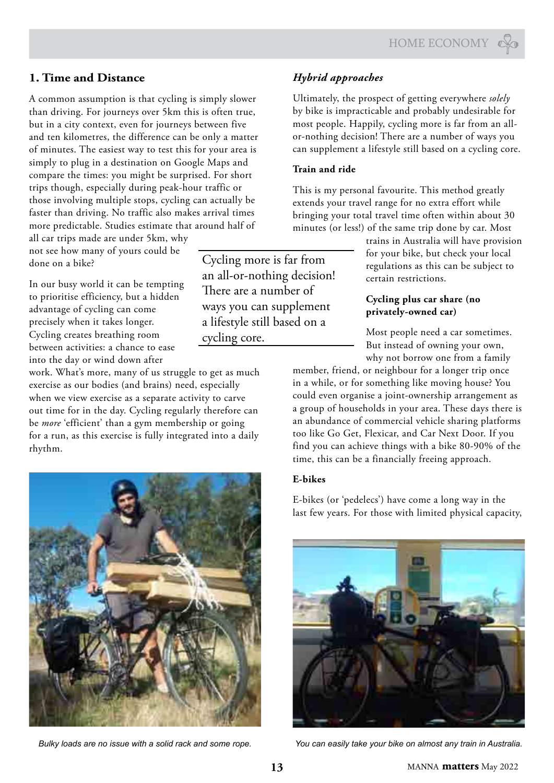#### **1. Time and Distance**

A common assumption is that cycling is simply slower than driving. For journeys over 5km this is often true, but in a city context, even for journeys between five and ten kilometres, the difference can be only a matter of minutes. The easiest way to test this for your area is simply to plug in a destination on Google Maps and compare the times: you might be surprised. For short trips though, especially during peak-hour traffic or those involving multiple stops, cycling can actually be faster than driving. No traffic also makes arrival times more predictable. Studies estimate that around half of

all car trips made are under 5km, why not see how many of yours could be done on a bike?

In our busy world it can be tempting to prioritise efficiency, but a hidden advantage of cycling can come precisely when it takes longer. Cycling creates breathing room between activities: a chance to ease into the day or wind down after

work. What's more, many of us struggle to get as much exercise as our bodies (and brains) need, especially when we view exercise as a separate activity to carve out time for in the day. Cycling regularly therefore can be *more* 'efficient' than a gym membership or going for a run, as this exercise is fully integrated into a daily rhythm.



*Bulky loads are no issue with a solid rack and some rope.*

Cycling more is far from an all-or-nothing decision! There are a number of ways you can supplement a lifestyle still based on a cycling core.

#### *Hybrid approaches*

Ultimately, the prospect of getting everywhere *solely* by bike is impracticable and probably undesirable for most people. Happily, cycling more is far from an allor-nothing decision! There are a number of ways you can supplement a lifestyle still based on a cycling core.

#### **Train and ride**

This is my personal favourite. This method greatly extends your travel range for no extra effort while bringing your total travel time often within about 30 minutes (or less!) of the same trip done by car. Most

> trains in Australia will have provision for your bike, but check your local regulations as this can be subject to certain restrictions.

#### **Cycling plus car share (no privately-owned car)**

Most people need a car sometimes. But instead of owning your own, why not borrow one from a family

member, friend, or neighbour for a longer trip once in a while, or for something like moving house? You could even organise a joint-ownership arrangement as a group of households in your area. These days there is an abundance of commercial vehicle sharing platforms too like Go Get, Flexicar, and Car Next Door. If you find you can achieve things with a bike 80-90% of the time, this can be a financially freeing approach.

#### **E-bikes**

E-bikes (or 'pedelecs') have come a long way in the last few years. For those with limited physical capacity,



*You can easily take your bike on almost any train in Australia.*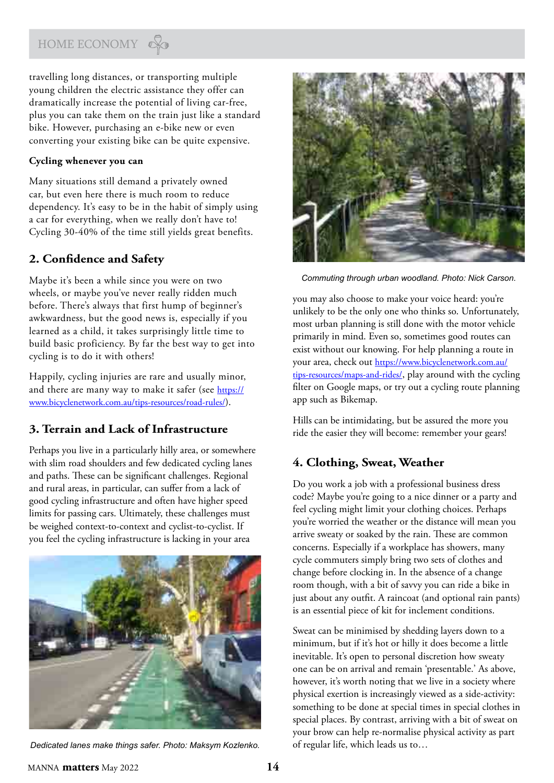### HOME ECONOMY ON

travelling long distances, or transporting multiple young children the electric assistance they offer can dramatically increase the potential of living car-free, plus you can take them on the train just like a standard bike. However, purchasing an e-bike new or even converting your existing bike can be quite expensive.

#### **Cycling whenever you can**

Many situations still demand a privately owned car, but even here there is much room to reduce dependency. It's easy to be in the habit of simply using a car for everything, when we really don't have to! Cycling 30-40% of the time still yields great benefits.

#### **2. Confidence and Safety**

Maybe it's been a while since you were on two wheels, or maybe you've never really ridden much before. There's always that first hump of beginner's awkwardness, but the good news is, especially if you learned as a child, it takes surprisingly little time to build basic proficiency. By far the best way to get into cycling is to do it with others!

Happily, cycling injuries are rare and usually minor, and there are many way to make it safer (see https:// www.bicyclenetwork.com.au/tips-resources/road-rules/).

#### **3. Terrain and Lack of Infrastructure**

Perhaps you live in a particularly hilly area, or somewhere with slim road shoulders and few dedicated cycling lanes and paths. These can be significant challenges. Regional and rural areas, in particular, can suffer from a lack of good cycling infrastructure and often have higher speed limits for passing cars. Ultimately, these challenges must be weighed context-to-context and cyclist-to-cyclist. If you feel the cycling infrastructure is lacking in your area



*Dedicated lanes make things safer. Photo: Maksym Kozlenko.* of regular life, which leads us to…



*Commuting through urban woodland. Photo: Nick Carson.*

you may also choose to make your voice heard: you're unlikely to be the only one who thinks so. Unfortunately, most urban planning is still done with the motor vehicle primarily in mind. Even so, sometimes good routes can exist without our knowing. For help planning a route in your area, check out https://www.bicyclenetwork.com.au/ tips-resources/maps-and-rides/, play around with the cycling filter on Google maps, or try out a cycling route planning app such as Bikemap.

Hills can be intimidating, but be assured the more you ride the easier they will become: remember your gears!

#### **4. Clothing, Sweat, Weather**

Do you work a job with a professional business dress code? Maybe you're going to a nice dinner or a party and feel cycling might limit your clothing choices. Perhaps you're worried the weather or the distance will mean you arrive sweaty or soaked by the rain. These are common concerns. Especially if a workplace has showers, many cycle commuters simply bring two sets of clothes and change before clocking in. In the absence of a change room though, with a bit of savvy you can ride a bike in just about any outfit. A raincoat (and optional rain pants) is an essential piece of kit for inclement conditions.

Sweat can be minimised by shedding layers down to a minimum, but if it's hot or hilly it does become a little inevitable. It's open to personal discretion how sweaty one can be on arrival and remain 'presentable.' As above, however, it's worth noting that we live in a society where physical exertion is increasingly viewed as a side-activity: something to be done at special times in special clothes in special places. By contrast, arriving with a bit of sweat on your brow can help re-normalise physical activity as part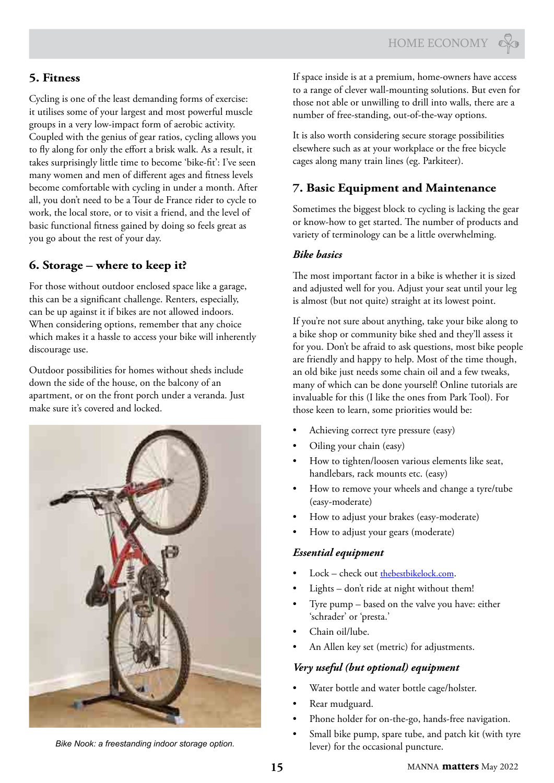#### **5. Fitness**

Cycling is one of the least demanding forms of exercise: it utilises some of your largest and most powerful muscle groups in a very low-impact form of aerobic activity. Coupled with the genius of gear ratios, cycling allows you to fly along for only the effort a brisk walk. As a result, it takes surprisingly little time to become 'bike-fit': I've seen many women and men of different ages and fitness levels become comfortable with cycling in under a month. After all, you don't need to be a Tour de France rider to cycle to work, the local store, or to visit a friend, and the level of basic functional fitness gained by doing so feels great as you go about the rest of your day.

#### **6. Storage – where to keep it?**

For those without outdoor enclosed space like a garage, this can be a significant challenge. Renters, especially, can be up against it if bikes are not allowed indoors. When considering options, remember that any choice which makes it a hassle to access your bike will inherently discourage use.

Outdoor possibilities for homes without sheds include down the side of the house, on the balcony of an apartment, or on the front porch under a veranda. Just make sure it's covered and locked.



If space inside is at a premium, home-owners have access to a range of clever wall-mounting solutions. But even for those not able or unwilling to drill into walls, there are a number of free-standing, out-of-the-way options.

It is also worth considering secure storage possibilities elsewhere such as at your workplace or the free bicycle cages along many train lines (eg. Parkiteer).

#### **7. Basic Equipment and Maintenance**

Sometimes the biggest block to cycling is lacking the gear or know-how to get started. The number of products and variety of terminology can be a little overwhelming.

#### *Bike basics*

The most important factor in a bike is whether it is sized and adjusted well for you. Adjust your seat until your leg is almost (but not quite) straight at its lowest point.

If you're not sure about anything, take your bike along to a bike shop or community bike shed and they'll assess it for you. Don't be afraid to ask questions, most bike people are friendly and happy to help. Most of the time though, an old bike just needs some chain oil and a few tweaks, many of which can be done yourself! Online tutorials are invaluable for this (I like the ones from Park Tool). For those keen to learn, some priorities would be:

- Achieving correct tyre pressure (easy)
- Oiling your chain (easy)
- How to tighten/loosen various elements like seat, handlebars, rack mounts etc. (easy)
- How to remove your wheels and change a tyre/tube (easy-moderate)
- How to adjust your brakes (easy-moderate)
- How to adjust your gears (moderate)

#### *Essential equipment*

- Lock check out thebestbikelock.com.
- Lights don't ride at night without them!
- Tyre pump based on the valve you have: either 'schrader' or 'presta.'
- Chain oil/lube.
- An Allen key set (metric) for adjustments.

#### *Very useful (but optional) equipment*

- Water bottle and water bottle cage/holster.
- Rear mudguard.
- Phone holder for on-the-go, hands-free navigation.
- Small bike pump, spare tube, and patch kit (with tyre Bike Nook: a freestanding indoor storage option. **Bike Nook: a freestanding indoor storage option. B** lever) for the occasional puncture.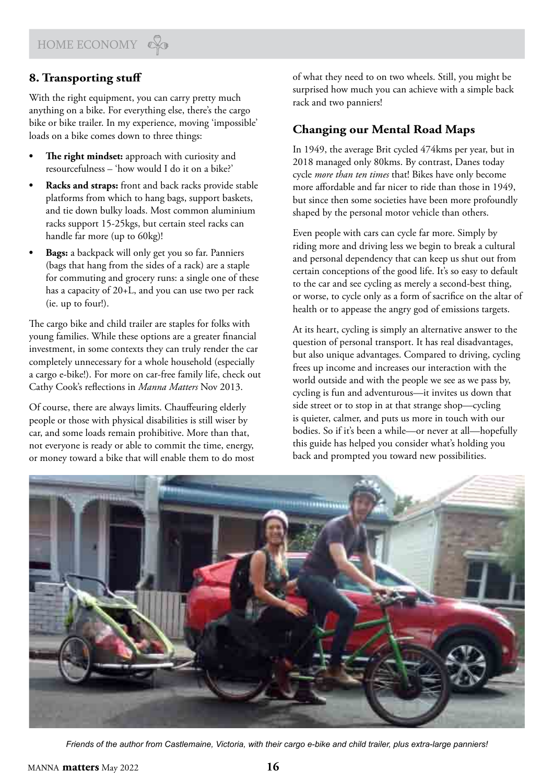#### **8. Transporting stuff**

With the right equipment, you can carry pretty much anything on a bike. For everything else, there's the cargo bike or bike trailer. In my experience, moving 'impossible' loads on a bike comes down to three things:

- The right mindset: approach with curiosity and resourcefulness – 'how would I do it on a bike?'
- **Racks and straps:** front and back racks provide stable platforms from which to hang bags, support baskets, and tie down bulky loads. Most common aluminium racks support 15-25kgs, but certain steel racks can handle far more (up to 60kg)!
- **Bags:** a backpack will only get you so far. Panniers (bags that hang from the sides of a rack) are a staple for commuting and grocery runs: a single one of these has a capacity of 20+L, and you can use two per rack (ie. up to four!).

The cargo bike and child trailer are staples for folks with young families. While these options are a greater financial investment, in some contexts they can truly render the car completely unnecessary for a whole household (especially a cargo e-bike!). For more on car-free family life, check out Cathy Cook's reflections in *Manna Matters* Nov 2013.

Of course, there are always limits. Chauffeuring elderly people or those with physical disabilities is still wiser by car, and some loads remain prohibitive. More than that, not everyone is ready or able to commit the time, energy, or money toward a bike that will enable them to do most of what they need to on two wheels. Still, you might be surprised how much you can achieve with a simple back rack and two panniers!

#### **Changing our Mental Road Maps**

In 1949, the average Brit cycled 474kms per year, but in 2018 managed only 80kms. By contrast, Danes today cycle *more than ten times* that! Bikes have only become more affordable and far nicer to ride than those in 1949, but since then some societies have been more profoundly shaped by the personal motor vehicle than others.

Even people with cars can cycle far more. Simply by riding more and driving less we begin to break a cultural and personal dependency that can keep us shut out from certain conceptions of the good life. It's so easy to default to the car and see cycling as merely a second-best thing, or worse, to cycle only as a form of sacrifice on the altar of health or to appease the angry god of emissions targets.

At its heart, cycling is simply an alternative answer to the question of personal transport. It has real disadvantages, but also unique advantages. Compared to driving, cycling frees up income and increases our interaction with the world outside and with the people we see as we pass by, cycling is fun and adventurous—it invites us down that side street or to stop in at that strange shop—cycling is quieter, calmer, and puts us more in touch with our bodies. So if it's been a while—or never at all—hopefully this guide has helped you consider what's holding you back and prompted you toward new possibilities.



*Friends of the author from Castlemaine, Victoria, with their cargo e-bike and child trailer, plus extra-large panniers!*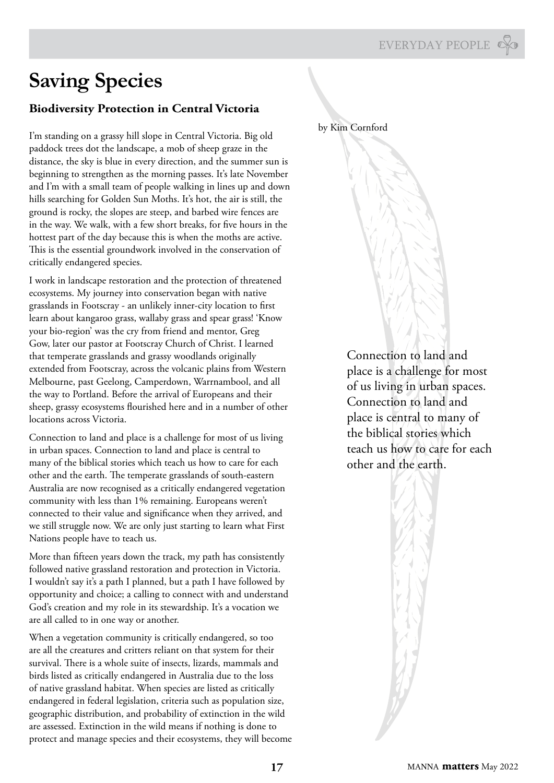# **Saving Species**

#### **Biodiversity Protection in Central Victoria**

by Kim Cornford I'm standing on a grassy hill slope in Central Victoria. Big old paddock trees dot the landscape, a mob of sheep graze in the distance, the sky is blue in every direction, and the summer sun is beginning to strengthen as the morning passes. It's late November and I'm with a small team of people walking in lines up and down hills searching for Golden Sun Moths. It's hot, the air is still, the ground is rocky, the slopes are steep, and barbed wire fences are in the way. We walk, with a few short breaks, for five hours in the hottest part of the day because this is when the moths are active. This is the essential groundwork involved in the conservation of critically endangered species.

I work in landscape restoration and the protection of threatened ecosystems. My journey into conservation began with native grasslands in Footscray - an unlikely inner-city location to first learn about kangaroo grass, wallaby grass and spear grass! 'Know your bio-region' was the cry from friend and mentor, Greg Gow, later our pastor at Footscray Church of Christ. I learned that temperate grasslands and grassy woodlands originally extended from Footscray, across the volcanic plains from Western Melbourne, past Geelong, Camperdown, Warrnambool, and all the way to Portland. Before the arrival of Europeans and their sheep, grassy ecosystems flourished here and in a number of other locations across Victoria.

Connection to land and place is a challenge for most of us living in urban spaces. Connection to land and place is central to many of the biblical stories which teach us how to care for each other and the earth. The temperate grasslands of south-eastern Australia are now recognised as a critically endangered vegetation community with less than 1% remaining. Europeans weren't connected to their value and significance when they arrived, and we still struggle now. We are only just starting to learn what First Nations people have to teach us.

More than fifteen years down the track, my path has consistently followed native grassland restoration and protection in Victoria. I wouldn't say it's a path I planned, but a path I have followed by opportunity and choice; a calling to connect with and understand God's creation and my role in its stewardship. It's a vocation we are all called to in one way or another.

When a vegetation community is critically endangered, so too are all the creatures and critters reliant on that system for their survival. There is a whole suite of insects, lizards, mammals and birds listed as critically endangered in Australia due to the loss of native grassland habitat. When species are listed as critically endangered in federal legislation, criteria such as population size, geographic distribution, and probability of extinction in the wild are assessed. Extinction in the wild means if nothing is done to protect and manage species and their ecosystems, they will become



Connection to land and place is a challenge for most of us living in urban spaces. Connection to land and place is central to many of the biblical stories which teach us how to care for each other and the earth.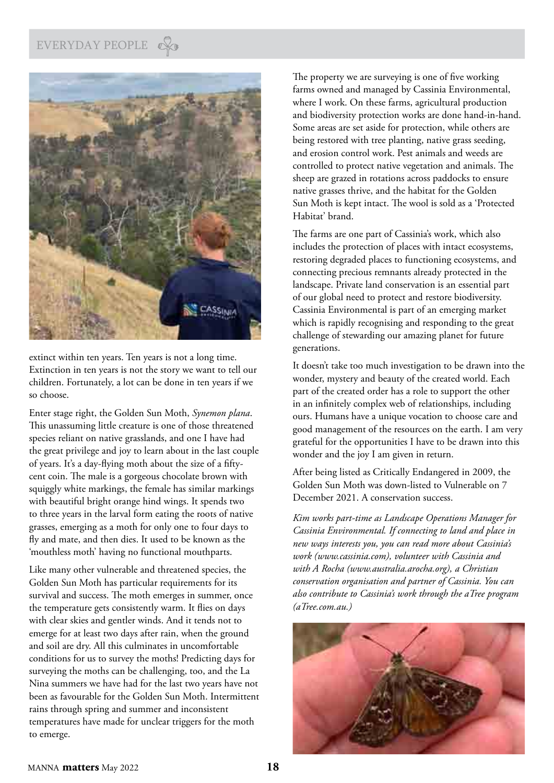### EVERYDAY PEOPLE C



extinct within ten years. Ten years is not a long time. Extinction in ten years is not the story we want to tell our children. Fortunately, a lot can be done in ten years if we so choose.

Enter stage right, the Golden Sun Moth, *Synemon plana*. This unassuming little creature is one of those threatened species reliant on native grasslands, and one I have had the great privilege and joy to learn about in the last couple of years. It's a day-flying moth about the size of a fiftycent coin. The male is a gorgeous chocolate brown with squiggly white markings, the female has similar markings with beautiful bright orange hind wings. It spends two to three years in the larval form eating the roots of native grasses, emerging as a moth for only one to four days to fly and mate, and then dies. It used to be known as the 'mouthless moth' having no functional mouthparts.

Like many other vulnerable and threatened species, the Golden Sun Moth has particular requirements for its survival and success. The moth emerges in summer, once the temperature gets consistently warm. It flies on days with clear skies and gentler winds. And it tends not to emerge for at least two days after rain, when the ground and soil are dry. All this culminates in uncomfortable conditions for us to survey the moths! Predicting days for surveying the moths can be challenging, too, and the La Nina summers we have had for the last two years have not been as favourable for the Golden Sun Moth. Intermittent rains through spring and summer and inconsistent temperatures have made for unclear triggers for the moth to emerge.

The property we are surveying is one of five working farms owned and managed by Cassinia Environmental, where I work. On these farms, agricultural production and biodiversity protection works are done hand-in-hand. Some areas are set aside for protection, while others are being restored with tree planting, native grass seeding, and erosion control work. Pest animals and weeds are controlled to protect native vegetation and animals. The sheep are grazed in rotations across paddocks to ensure native grasses thrive, and the habitat for the Golden Sun Moth is kept intact. The wool is sold as a 'Protected Habitat' brand.

The farms are one part of Cassinia's work, which also includes the protection of places with intact ecosystems, restoring degraded places to functioning ecosystems, and connecting precious remnants already protected in the landscape. Private land conservation is an essential part of our global need to protect and restore biodiversity. Cassinia Environmental is part of an emerging market which is rapidly recognising and responding to the great challenge of stewarding our amazing planet for future generations.

It doesn't take too much investigation to be drawn into the wonder, mystery and beauty of the created world. Each part of the created order has a role to support the other in an infinitely complex web of relationships, including ours. Humans have a unique vocation to choose care and good management of the resources on the earth. I am very grateful for the opportunities I have to be drawn into this wonder and the joy I am given in return.

After being listed as Critically Endangered in 2009, the Golden Sun Moth was down-listed to Vulnerable on 7 December 2021. A conservation success.

*Kim works part-time as Landscape Operations Manager for Cassinia Environmental. If connecting to land and place in new ways interests you, you can read more about Cassinia's work (www.cassinia.com), volunteer with Cassinia and with A Rocha (www.australia.arocha.org), a Christian conservation organisation and partner of Cassinia. You can also contribute to Cassinia's work through the aTree program (aTree.com.au.)*

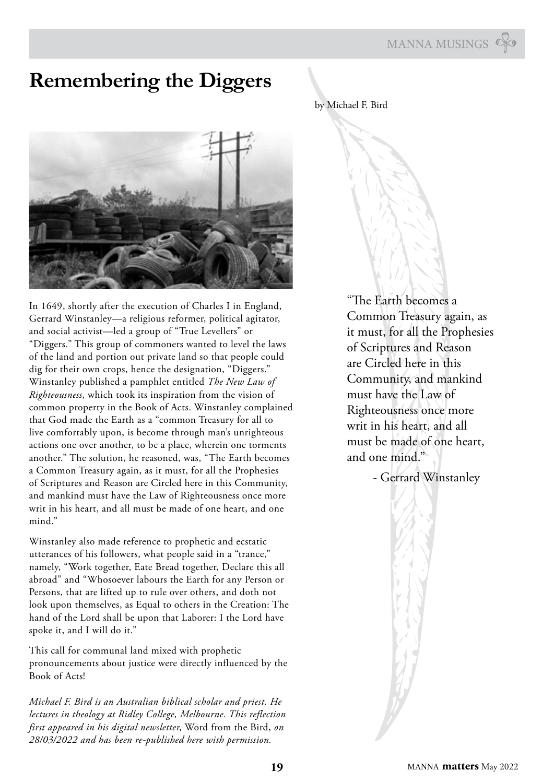# **Remembering the Diggers**



In 1649, shortly after the execution of Charles I in England, Gerrard Winstanley—a religious reformer, political agitator, and social activist—led a group of "True Levellers" or "Diggers." This group of commoners wanted to level the laws of the land and portion out private land so that people could dig for their own crops, hence the designation, "Diggers." Winstanley published a pamphlet entitled *The New Law of Righteousness*, which took its inspiration from the vision of common property in the Book of Acts. Winstanley complained that God made the Earth as a "common Treasury for all to live comfortably upon, is become through man's unrighteous actions one over another, to be a place, wherein one torments another." The solution, he reasoned, was, "The Earth becomes a Common Treasury again, as it must, for all the Prophesies of Scriptures and Reason are Circled here in this Community, and mankind must have the Law of Righteousness once more writ in his heart, and all must be made of one heart, and one mind."

Winstanley also made reference to prophetic and ecstatic utterances of his followers, what people said in a "trance," namely, "Work together, Eate Bread together, Declare this all abroad" and "Whosoever labours the Earth for any Person or Persons, that are lifted up to rule over others, and doth not look upon themselves, as Equal to others in the Creation: The hand of the Lord shall be upon that Laborer: I the Lord have spoke it, and I will do it."

This call for communal land mixed with prophetic pronouncements about justice were directly influenced by the Book of Acts!

*Michael F. Bird is an Australian biblical scholar and priest. He lectures in theology at Ridley College, Melbourne. This reflection first appeared in his digital newsletter,* Word from the Bird, *on 28/03/2022 and has been re-published here with permission.* 

by Michael F. Bird

"The Earth becomes a Common Treasury again, as it must, for all the Prophesies of Scriptures and Reason are Circled here in this Community, and mankind must have the Law of Righteousness once more writ in his heart, and all must be made of one heart, and one mind."

- Gerrard Winstanley